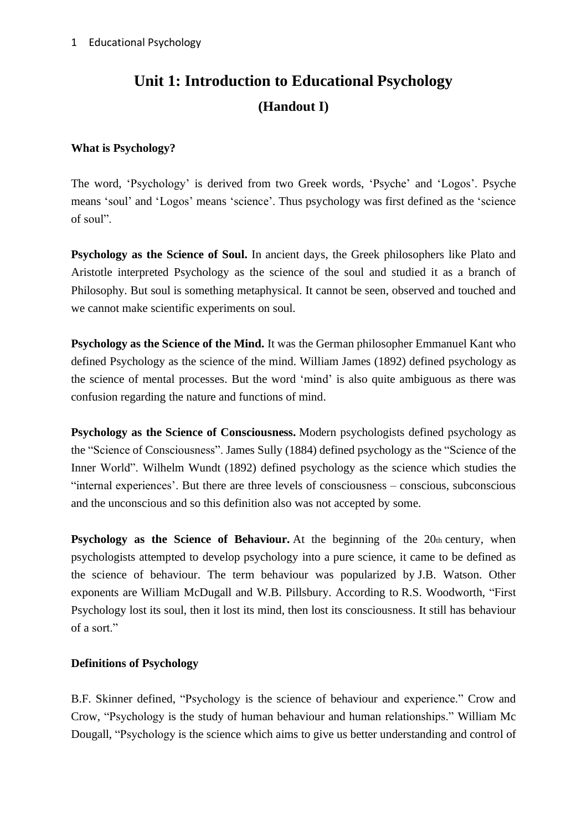# **Unit 1: Introduction to Educational Psychology (Handout I)**

#### **What is Psychology?**

The word, 'Psychology' is derived from two Greek words, 'Psyche' and 'Logos'. Psyche means 'soul' and 'Logos' means 'science'. Thus psychology was first defined as the 'science of soul".

**Psychology as the Science of Soul.** In ancient days, the Greek philosophers like Plato and Aristotle interpreted Psychology as the science of the soul and studied it as a branch of Philosophy. But soul is something metaphysical. It cannot be seen, observed and touched and we cannot make scientific experiments on soul.

**Psychology as the Science of the Mind.** It was the German philosopher Emmanuel Kant who defined Psychology as the science of the mind. William James (1892) defined psychology as the science of mental processes. But the word 'mind' is also quite ambiguous as there was confusion regarding the nature and functions of mind.

**Psychology as the Science of Consciousness.** Modern psychologists defined psychology as the "Science of Consciousness". James Sully (1884) defined psychology as the "Science of the Inner World". Wilhelm Wundt (1892) defined psychology as the science which studies the "internal experiences'. But there are three levels of consciousness – conscious, subconscious and the unconscious and so this definition also was not accepted by some.

**Psychology as the Science of Behaviour.** At the beginning of the 20th century, when psychologists attempted to develop psychology into a pure science, it came to be defined as the science of behaviour. The term behaviour was popularized by J.B. Watson. Other exponents are William McDugall and W.B. Pillsbury. According to R.S. Woodworth, "First Psychology lost its soul, then it lost its mind, then lost its consciousness. It still has behaviour of a sort."

## **Definitions of Psychology**

B.F. Skinner defined, "Psychology is the science of behaviour and experience." Crow and Crow, "Psychology is the study of human behaviour and human relationships." William Mc Dougall, "Psychology is the science which aims to give us better understanding and control of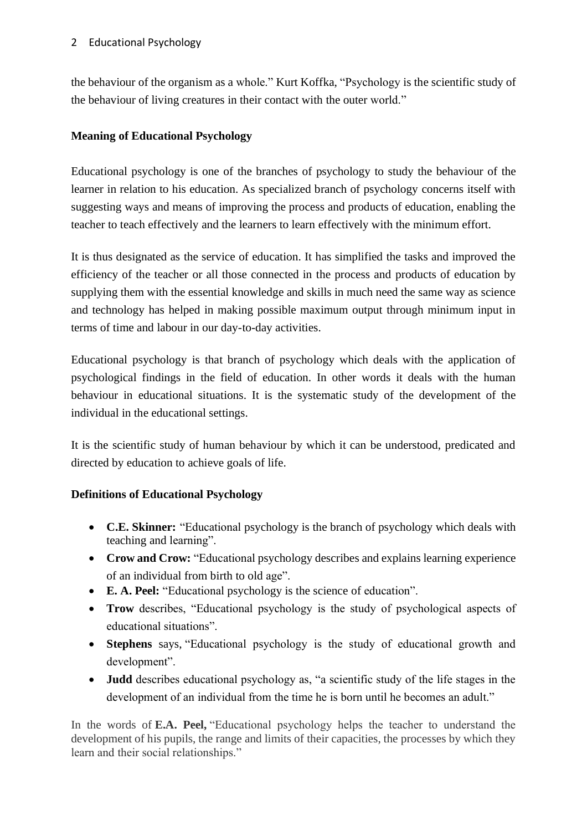the behaviour of the organism as a whole." Kurt Koffka, "Psychology is the scientific study of the behaviour of living creatures in their contact with the outer world."

## **Meaning of Educational Psychology**

Educational psychology is one of the branches of psychology to study the behaviour of the learner in relation to his education. As specialized branch of psychology concerns itself with suggesting ways and means of improving the process and products of education, enabling the teacher to teach effectively and the learners to learn effectively with the minimum effort.

It is thus designated as the service of education. It has simplified the tasks and improved the efficiency of the teacher or all those connected in the process and products of education by supplying them with the essential knowledge and skills in much need the same way as science and technology has helped in making possible maximum output through minimum input in terms of time and labour in our day-to-day activities.

Educational psychology is that branch of psychology which deals with the application of psychological findings in the field of education. In other words it deals with the human behaviour in educational situations. It is the systematic study of the development of the individual in the educational settings.

It is the scientific study of human behaviour by which it can be understood, predicated and directed by education to achieve goals of life.

## **Definitions of Educational Psychology**

- **C.E. Skinner:** "Educational psychology is the branch of psychology which deals with teaching and learning".
- **Crow and Crow:** "Educational psychology describes and explains learning experience of an individual from birth to old age".
- **E. A. Peel:** "Educational psychology is the science of education".
- **Trow** describes, "Educational psychology is the study of psychological aspects of educational situations".
- **Stephens** says, "Educational psychology is the study of educational growth and development".
- **Judd** describes educational psychology as, "a scientific study of the life stages in the development of an individual from the time he is born until he becomes an adult."

In the words of **E.A. Peel,** "Educational psychology helps the teacher to understand the development of his pupils, the range and limits of their capacities, the processes by which they learn and their social relationships."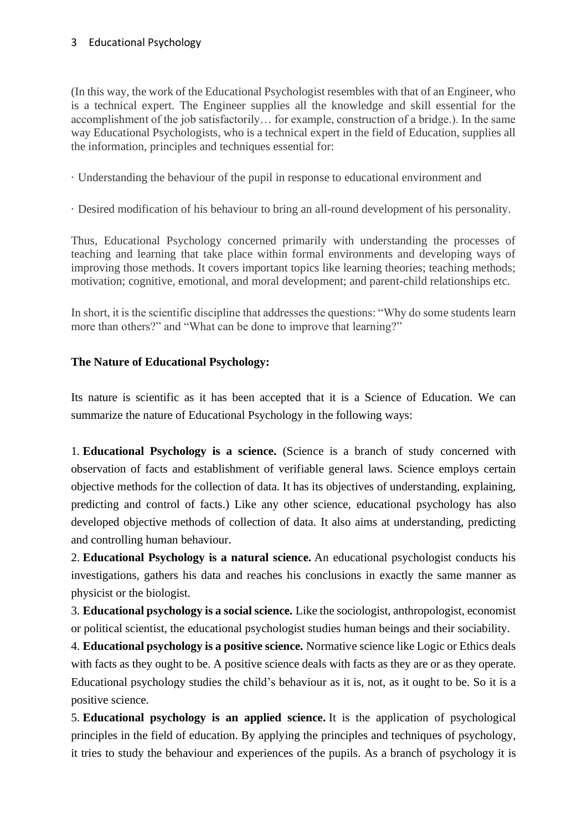(In this way, the work of the Educational Psychologist resembles with that of an Engineer, who is a technical expert. The Engineer supplies all the knowledge and skill essential for the accomplishment of the job satisfactorily… for example, construction of a bridge.). In the same way Educational Psychologists, who is a technical expert in the field of Education, supplies all the information, principles and techniques essential for:

- · Understanding the behaviour of the pupil in response to educational environment and
- · Desired modification of his behaviour to bring an all-round development of his personality.

Thus, Educational Psychology concerned primarily with understanding the processes of teaching and learning that take place within formal environments and developing ways of improving those methods. It covers important topics like learning theories; teaching methods; motivation; cognitive, emotional, and moral development; and parent-child relationships etc.

In short, it is the scientific discipline that addresses the questions: "Why do some students learn more than others?" and "What can be done to improve that learning?"

#### **The Nature of Educational Psychology:**

Its nature is scientific as it has been accepted that it is a Science of Education. We can summarize the nature of Educational Psychology in the following ways:

1. **Educational Psychology is a science.** (Science is a branch of study concerned with observation of facts and establishment of verifiable general laws. Science employs certain objective methods for the collection of data. It has its objectives of understanding, explaining, predicting and control of facts.) Like any other science, educational psychology has also developed objective methods of collection of data. It also aims at understanding, predicting and controlling human behaviour.

2. **Educational Psychology is a natural science.** An educational psychologist conducts his investigations, gathers his data and reaches his conclusions in exactly the same manner as physicist or the biologist.

3. **Educational psychology is a social science.** Like the sociologist, anthropologist, economist or political scientist, the educational psychologist studies human beings and their sociability.

4. **Educational psychology is a positive science.** Normative science like Logic or Ethics deals with facts as they ought to be. A positive science deals with facts as they are or as they operate. Educational psychology studies the child's behaviour as it is, not, as it ought to be. So it is a positive science.

5. **Educational psychology is an applied science.** It is the application of psychological principles in the field of education. By applying the principles and techniques of psychology, it tries to study the behaviour and experiences of the pupils. As a branch of psychology it is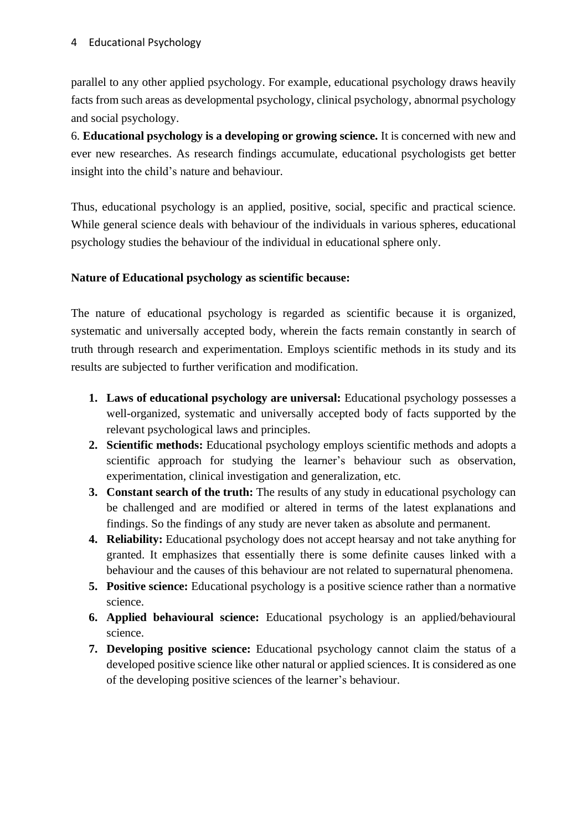parallel to any other applied psychology. For example, educational psychology draws heavily facts from such areas as developmental psychology, clinical psychology, abnormal psychology and social psychology.

6. **Educational psychology is a developing or growing science.** It is concerned with new and ever new researches. As research findings accumulate, educational psychologists get better insight into the child's nature and behaviour.

Thus, educational psychology is an applied, positive, social, specific and practical science. While general science deals with behaviour of the individuals in various spheres, educational psychology studies the behaviour of the individual in educational sphere only.

#### **Nature of Educational psychology as scientific because:**

The nature of educational psychology is regarded as scientific because it is organized, systematic and universally accepted body, wherein the facts remain constantly in search of truth through research and experimentation. Employs scientific methods in its study and its results are subjected to further verification and modification.

- **1. Laws of educational psychology are universal:** Educational psychology possesses a well-organized, systematic and universally accepted body of facts supported by the relevant psychological laws and principles.
- **2. Scientific methods:** Educational psychology employs scientific methods and adopts a scientific approach for studying the learner's behaviour such as observation, experimentation, clinical investigation and generalization, etc.
- **3. Constant search of the truth:** The results of any study in educational psychology can be challenged and are modified or altered in terms of the latest explanations and findings. So the findings of any study are never taken as absolute and permanent.
- **4. Reliability:** Educational psychology does not accept hearsay and not take anything for granted. It emphasizes that essentially there is some definite causes linked with a behaviour and the causes of this behaviour are not related to supernatural phenomena.
- **5. Positive science:** Educational psychology is a positive science rather than a normative science.
- **6. Applied behavioural science:** Educational psychology is an applied/behavioural science.
- **7. Developing positive science:** Educational psychology cannot claim the status of a developed positive science like other natural or applied sciences. It is considered as one of the developing positive sciences of the learner's behaviour.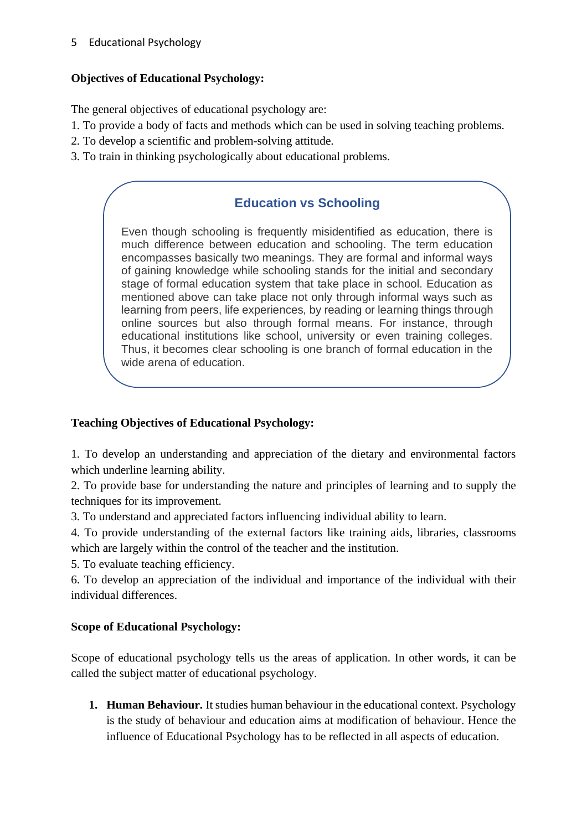#### 5 Educational Psychology

## **Objectives of Educational Psychology:**

The general objectives of educational psychology are:

- 1. To provide a body of facts and methods which can be used in solving teaching problems.
- 2. To develop a scientific and problem-solving attitude.
- 3. To train in thinking psychologically about educational problems.

# **Education vs Schooling**

Even though schooling is frequently misidentified as education, there is much difference between education and schooling. The term education encompasses basically two meanings. They are formal and informal ways of gaining knowledge while schooling stands for the initial and secondary stage of formal education system that take place in school. Education as mentioned above can take place not only through informal ways such as learning from peers, life experiences, by reading or learning things through online sources but also through formal means. For instance, through educational institutions like school, university or even training colleges. Thus, it becomes clear schooling is one branch of formal education in the wide arena of education.

## **Teaching Objectives of Educational Psychology:**

1. To develop an understanding and appreciation of the dietary and environmental factors which underline learning ability.

2. To provide base for understanding the nature and principles of learning and to supply the techniques for its improvement.

3. To understand and appreciated factors influencing individual ability to learn.

4. To provide understanding of the external factors like training aids, libraries, classrooms which are largely within the control of the teacher and the institution.

5. To evaluate teaching efficiency.

6. To develop an appreciation of the individual and importance of the individual with their individual differences.

## **Scope of Educational Psychology:**

Scope of educational psychology tells us the areas of application. In other words, it can be called the subject matter of educational psychology.

**1. Human Behaviour.** It studies human behaviour in the educational context. Psychology is the study of behaviour and education aims at modification of behaviour. Hence the influence of Educational Psychology has to be reflected in all aspects of education.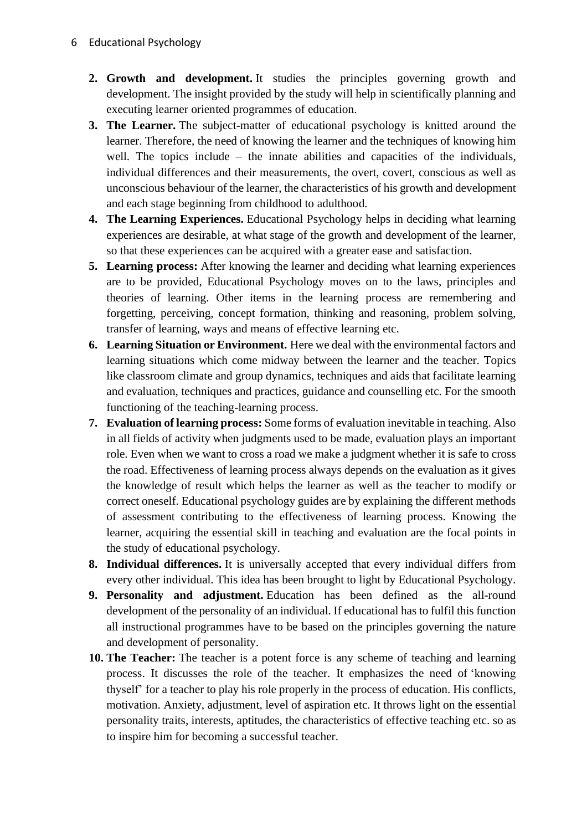- **2. Growth and development.** It studies the principles governing growth and development. The insight provided by the study will help in scientifically planning and executing learner oriented programmes of education.
- **3. The Learner.** The subject-matter of educational psychology is knitted around the learner. Therefore, the need of knowing the learner and the techniques of knowing him well. The topics include – the innate abilities and capacities of the individuals, individual differences and their measurements, the overt, covert, conscious as well as unconscious behaviour of the learner, the characteristics of his growth and development and each stage beginning from childhood to adulthood.
- **4. The Learning Experiences.** Educational Psychology helps in deciding what learning experiences are desirable, at what stage of the growth and development of the learner, so that these experiences can be acquired with a greater ease and satisfaction.
- **5. Learning process:** After knowing the learner and deciding what learning experiences are to be provided, Educational Psychology moves on to the laws, principles and theories of learning. Other items in the learning process are remembering and forgetting, perceiving, concept formation, thinking and reasoning, problem solving, transfer of learning, ways and means of effective learning etc.
- **6. Learning Situation or Environment.** Here we deal with the environmental factors and learning situations which come midway between the learner and the teacher. Topics like classroom climate and group dynamics, techniques and aids that facilitate learning and evaluation, techniques and practices, guidance and counselling etc. For the smooth functioning of the teaching-learning process.
- **7. Evaluation of learning process:** Some forms of evaluation inevitable in teaching. Also in all fields of activity when judgments used to be made, evaluation plays an important role. Even when we want to cross a road we make a judgment whether it is safe to cross the road. Effectiveness of learning process always depends on the evaluation as it gives the knowledge of result which helps the learner as well as the teacher to modify or correct oneself. Educational psychology guides are by explaining the different methods of assessment contributing to the effectiveness of learning process. Knowing the learner, acquiring the essential skill in teaching and evaluation are the focal points in the study of educational psychology.
- **8. Individual differences.** It is universally accepted that every individual differs from every other individual. This idea has been brought to light by Educational Psychology.
- **9. Personality and adjustment.** Education has been defined as the all-round development of the personality of an individual. If educational has to fulfil this function all instructional programmes have to be based on the principles governing the nature and development of personality.
- **10. The Teacher:** The teacher is a potent force is any scheme of teaching and learning process. It discusses the role of the teacher. It emphasizes the need of 'knowing thyself' for a teacher to play his role properly in the process of education. His conflicts, motivation. Anxiety, adjustment, level of aspiration etc. It throws light on the essential personality traits, interests, aptitudes, the characteristics of effective teaching etc. so as to inspire him for becoming a successful teacher.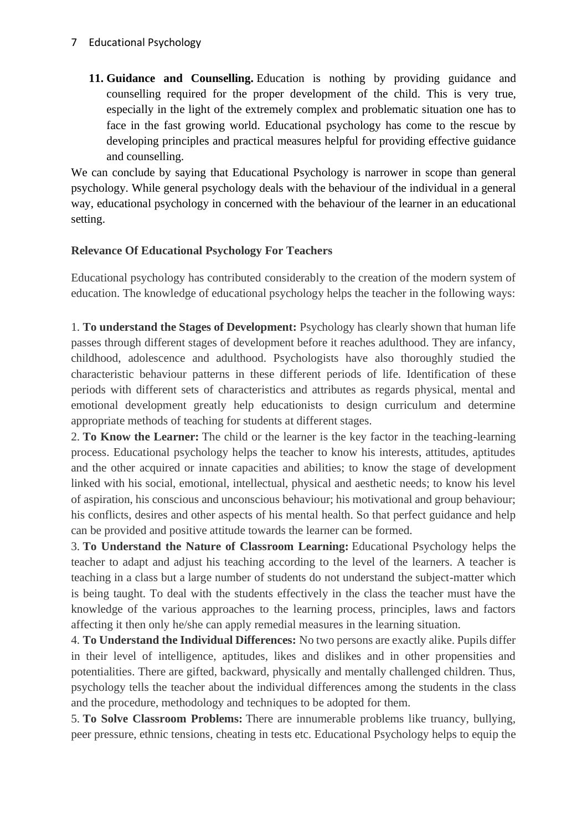**11. Guidance and Counselling.** Education is nothing by providing guidance and counselling required for the proper development of the child. This is very true, especially in the light of the extremely complex and problematic situation one has to face in the fast growing world. Educational psychology has come to the rescue by developing principles and practical measures helpful for providing effective guidance and counselling.

We can conclude by saying that Educational Psychology is narrower in scope than general psychology. While general psychology deals with the behaviour of the individual in a general way, educational psychology in concerned with the behaviour of the learner in an educational setting.

#### **Relevance Of Educational Psychology For Teachers**

Educational psychology has contributed considerably to the creation of the modern system of education. The knowledge of educational psychology helps the teacher in the following ways:

1. **To understand the Stages of Development:** Psychology has clearly shown that human life passes through different stages of development before it reaches adulthood. They are infancy, childhood, adolescence and adulthood. Psychologists have also thoroughly studied the characteristic behaviour patterns in these different periods of life. Identification of these periods with different sets of characteristics and attributes as regards physical, mental and emotional development greatly help educationists to design curriculum and determine appropriate methods of teaching for students at different stages.

2. **To Know the Learner:** The child or the learner is the key factor in the teaching-learning process. Educational psychology helps the teacher to know his interests, attitudes, aptitudes and the other acquired or innate capacities and abilities; to know the stage of development linked with his social, emotional, intellectual, physical and aesthetic needs; to know his level of aspiration, his conscious and unconscious behaviour; his motivational and group behaviour; his conflicts, desires and other aspects of his mental health. So that perfect guidance and help can be provided and positive attitude towards the learner can be formed.

3. **To Understand the Nature of Classroom Learning:** Educational Psychology helps the teacher to adapt and adjust his teaching according to the level of the learners. A teacher is teaching in a class but a large number of students do not understand the subject-matter which is being taught. To deal with the students effectively in the class the teacher must have the knowledge of the various approaches to the learning process, principles, laws and factors affecting it then only he/she can apply remedial measures in the learning situation.

4. **To Understand the Individual Differences:** No two persons are exactly alike. Pupils differ in their level of intelligence, aptitudes, likes and dislikes and in other propensities and potentialities. There are gifted, backward, physically and mentally challenged children. Thus, psychology tells the teacher about the individual differences among the students in the class and the procedure, methodology and techniques to be adopted for them.

5. **To Solve Classroom Problems:** There are innumerable problems like truancy, bullying, peer pressure, ethnic tensions, cheating in tests etc. Educational Psychology helps to equip the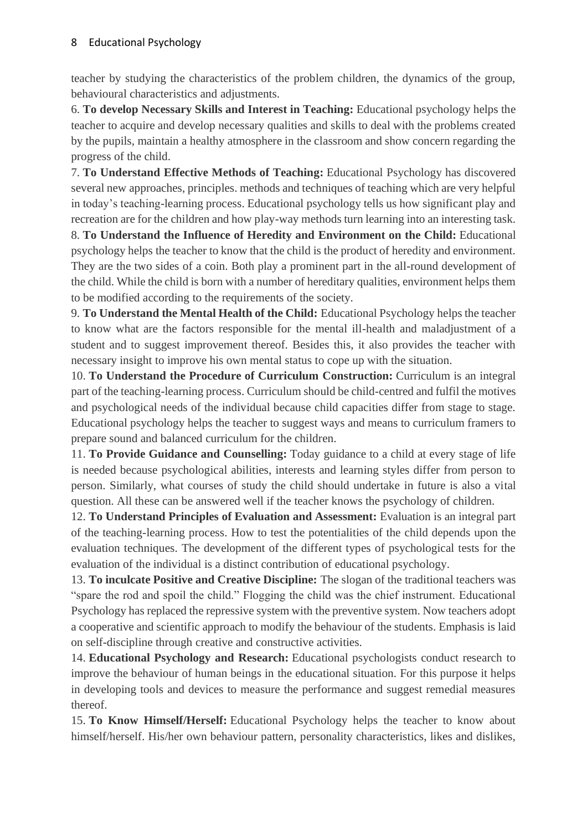teacher by studying the characteristics of the problem children, the dynamics of the group, behavioural characteristics and adjustments.

6. **To develop Necessary Skills and Interest in Teaching:** Educational psychology helps the teacher to acquire and develop necessary qualities and skills to deal with the problems created by the pupils, maintain a healthy atmosphere in the classroom and show concern regarding the progress of the child.

7. **To Understand Effective Methods of Teaching:** Educational Psychology has discovered several new approaches, principles. methods and techniques of teaching which are very helpful in today's teaching-learning process. Educational psychology tells us how significant play and recreation are for the children and how play-way methods turn learning into an interesting task.

8. **To Understand the Influence of Heredity and Environment on the Child:** Educational psychology helps the teacher to know that the child is the product of heredity and environment. They are the two sides of a coin. Both play a prominent part in the all-round development of the child. While the child is born with a number of hereditary qualities, environment helps them to be modified according to the requirements of the society.

9. **To Understand the Mental Health of the Child:** Educational Psychology helps the teacher to know what are the factors responsible for the mental ill-health and maladjustment of a student and to suggest improvement thereof. Besides this, it also provides the teacher with necessary insight to improve his own mental status to cope up with the situation.

10. **To Understand the Procedure of Curriculum Construction:** Curriculum is an integral part of the teaching-learning process. Curriculum should be child-centred and fulfil the motives and psychological needs of the individual because child capacities differ from stage to stage. Educational psychology helps the teacher to suggest ways and means to curriculum framers to prepare sound and balanced curriculum for the children.

11. **To Provide Guidance and Counselling:** Today guidance to a child at every stage of life is needed because psychological abilities, interests and learning styles differ from person to person. Similarly, what courses of study the child should undertake in future is also a vital question. All these can be answered well if the teacher knows the psychology of children.

12. **To Understand Principles of Evaluation and Assessment:** Evaluation is an integral part of the teaching-learning process. How to test the potentialities of the child depends upon the evaluation techniques. The development of the different types of psychological tests for the evaluation of the individual is a distinct contribution of educational psychology.

13. **To inculcate Positive and Creative Discipline:** The slogan of the traditional teachers was "spare the rod and spoil the child." Flogging the child was the chief instrument. Educational Psychology has replaced the repressive system with the preventive system. Now teachers adopt a cooperative and scientific approach to modify the behaviour of the students. Emphasis is laid on self-discipline through creative and constructive activities.

14. **Educational Psychology and Research:** Educational psychologists conduct research to improve the behaviour of human beings in the educational situation. For this purpose it helps in developing tools and devices to measure the performance and suggest remedial measures thereof.

15. **To Know Himself/Herself:** Educational Psychology helps the teacher to know about himself/herself. His/her own behaviour pattern, personality characteristics, likes and dislikes,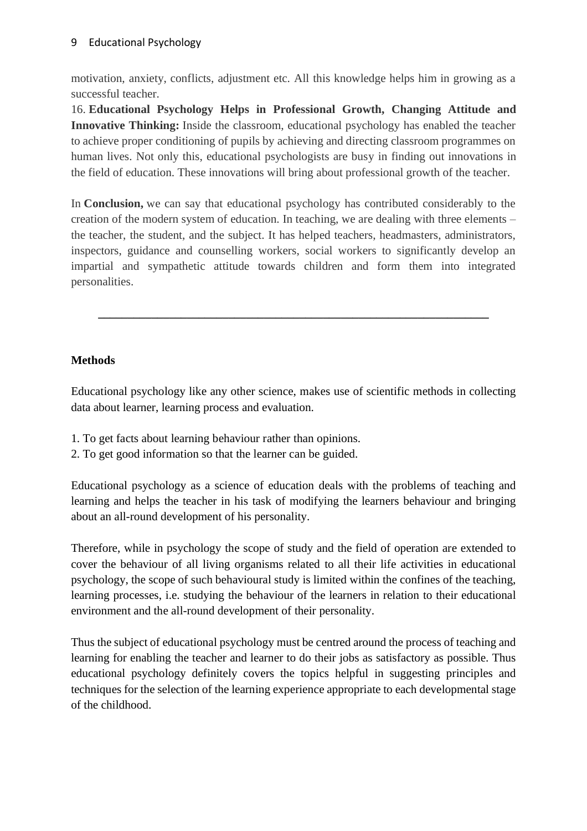motivation, anxiety, conflicts, adjustment etc. All this knowledge helps him in growing as a successful teacher.

16. **Educational Psychology Helps in Professional Growth, Changing Attitude and Innovative Thinking:** Inside the classroom, educational psychology has enabled the teacher to achieve proper conditioning of pupils by achieving and directing classroom programmes on human lives. Not only this, educational psychologists are busy in finding out innovations in the field of education. These innovations will bring about professional growth of the teacher.

In **Conclusion,** we can say that educational psychology has contributed considerably to the creation of the modern system of education. In teaching, we are dealing with three elements – the teacher, the student, and the subject. It has helped teachers, headmasters, administrators, inspectors, guidance and counselling workers, social workers to significantly develop an impartial and sympathetic attitude towards children and form them into integrated personalities.

**\_\_\_\_\_\_\_\_\_\_\_\_\_\_\_\_\_\_\_\_\_\_\_\_\_\_\_\_\_\_\_\_\_\_\_\_\_\_\_\_\_\_\_\_\_\_\_\_\_\_\_\_\_\_\_\_\_\_\_\_\_\_\_\_\_\_**

# **Methods**

Educational psychology like any other science, makes use of scientific methods in collecting data about learner, learning process and evaluation.

- 1. To get facts about learning behaviour rather than opinions.
- 2. To get good information so that the learner can be guided.

Educational psychology as a science of education deals with the problems of teaching and learning and helps the teacher in his task of modifying the learners behaviour and bringing about an all-round development of his personality.

Therefore, while in psychology the scope of study and the field of operation are extended to cover the behaviour of all living organisms related to all their life activities in educational psychology, the scope of such behavioural study is limited within the confines of the teaching, learning processes, i.e. studying the behaviour of the learners in relation to their educational environment and the all-round development of their personality.

Thus the subject of educational psychology must be centred around the process of teaching and learning for enabling the teacher and learner to do their jobs as satisfactory as possible. Thus educational psychology definitely covers the topics helpful in suggesting principles and techniques for the selection of the learning experience appropriate to each developmental stage of the childhood.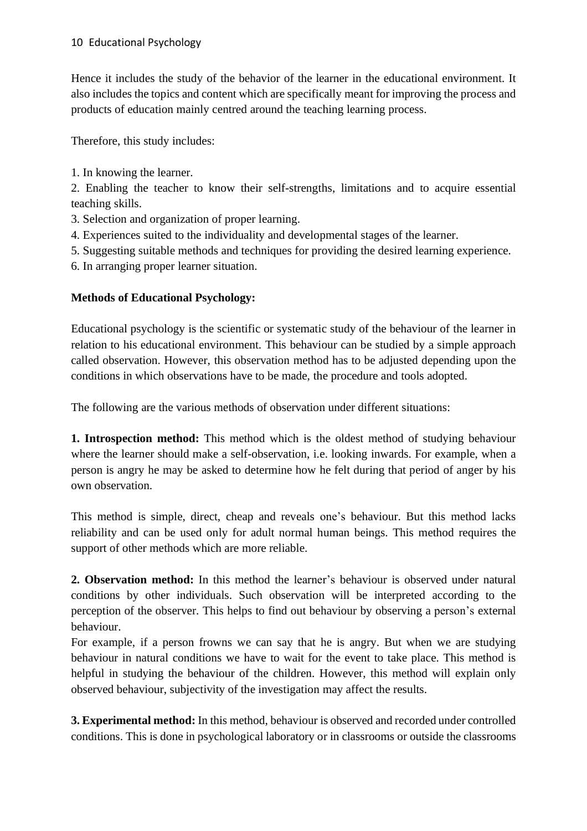Hence it includes the study of the behavior of the learner in the educational environment. It also includes the topics and content which are specifically meant for improving the process and products of education mainly centred around the teaching learning process.

Therefore, this study includes:

1. In knowing the learner.

2. Enabling the teacher to know their self-strengths, limitations and to acquire essential teaching skills.

- 3. Selection and organization of proper learning.
- 4. Experiences suited to the individuality and developmental stages of the learner.
- 5. Suggesting suitable methods and techniques for providing the desired learning experience.
- 6. In arranging proper learner situation.

# **Methods of Educational Psychology:**

Educational psychology is the scientific or systematic study of the behaviour of the learner in relation to his educational environment. This behaviour can be studied by a simple approach called observation. However, this observation method has to be adjusted depending upon the conditions in which observations have to be made, the procedure and tools adopted.

The following are the various methods of observation under different situations:

**1. Introspection method:** This method which is the oldest method of studying behaviour where the learner should make a self-observation, i.e. looking inwards. For example, when a person is angry he may be asked to determine how he felt during that period of anger by his own observation.

This method is simple, direct, cheap and reveals one's behaviour. But this method lacks reliability and can be used only for adult normal human beings. This method requires the support of other methods which are more reliable.

**2. Observation method:** In this method the learner's behaviour is observed under natural conditions by other individuals. Such observation will be interpreted according to the perception of the observer. This helps to find out behaviour by observing a person's external behaviour.

For example, if a person frowns we can say that he is angry. But when we are studying behaviour in natural conditions we have to wait for the event to take place. This method is helpful in studying the behaviour of the children. However, this method will explain only observed behaviour, subjectivity of the investigation may affect the results.

**3. Experimental method:** In this method, behaviour is observed and recorded under controlled conditions. This is done in psychological laboratory or in classrooms or outside the classrooms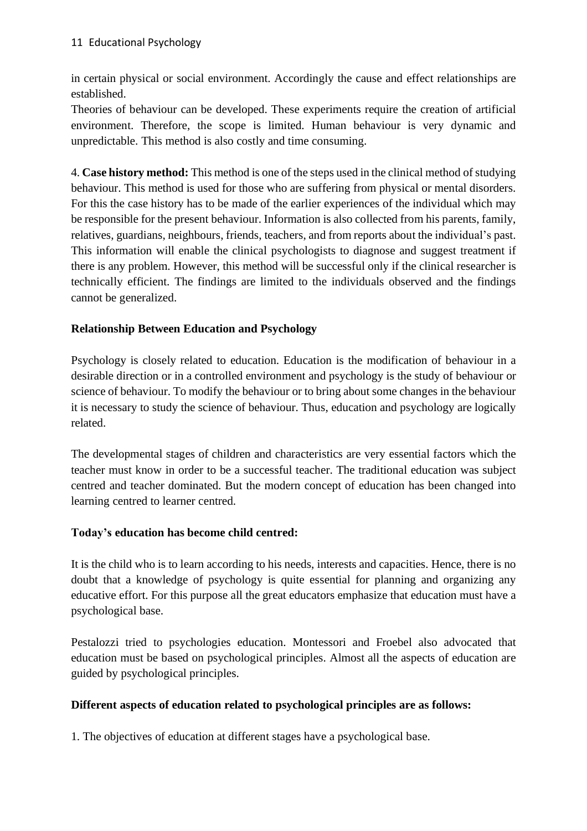in certain physical or social environment. Accordingly the cause and effect relationships are established.

Theories of behaviour can be developed. These experiments require the creation of artificial environment. Therefore, the scope is limited. Human behaviour is very dynamic and unpredictable. This method is also costly and time consuming.

4. **Case history method:** This method is one of the steps used in the clinical method ofstudying behaviour. This method is used for those who are suffering from physical or mental disorders. For this the case history has to be made of the earlier experiences of the individual which may be responsible for the present behaviour. Information is also collected from his parents, family, relatives, guardians, neighbours, friends, teachers, and from reports about the individual's past. This information will enable the clinical psychologists to diagnose and suggest treatment if there is any problem. However, this method will be successful only if the clinical researcher is technically efficient. The findings are limited to the individuals observed and the findings cannot be generalized.

## **Relationship Between Education and Psychology**

Psychology is closely related to education. Education is the modification of behaviour in a desirable direction or in a controlled environment and psychology is the study of behaviour or science of behaviour. To modify the behaviour or to bring about some changes in the behaviour it is necessary to study the science of behaviour. Thus, education and psychology are logically related.

The developmental stages of children and characteristics are very essential factors which the teacher must know in order to be a successful teacher. The traditional education was subject centred and teacher dominated. But the modern concept of education has been changed into learning centred to learner centred.

#### **Today's education has become child centred:**

It is the child who is to learn according to his needs, interests and capacities. Hence, there is no doubt that a knowledge of psychology is quite essential for planning and organizing any educative effort. For this purpose all the great educators emphasize that education must have a psychological base.

Pestalozzi tried to psychologies education. Montessori and Froebel also advocated that education must be based on psychological principles. Almost all the aspects of education are guided by psychological principles.

#### **Different aspects of education related to psychological principles are as follows:**

1. The objectives of education at different stages have a psychological base.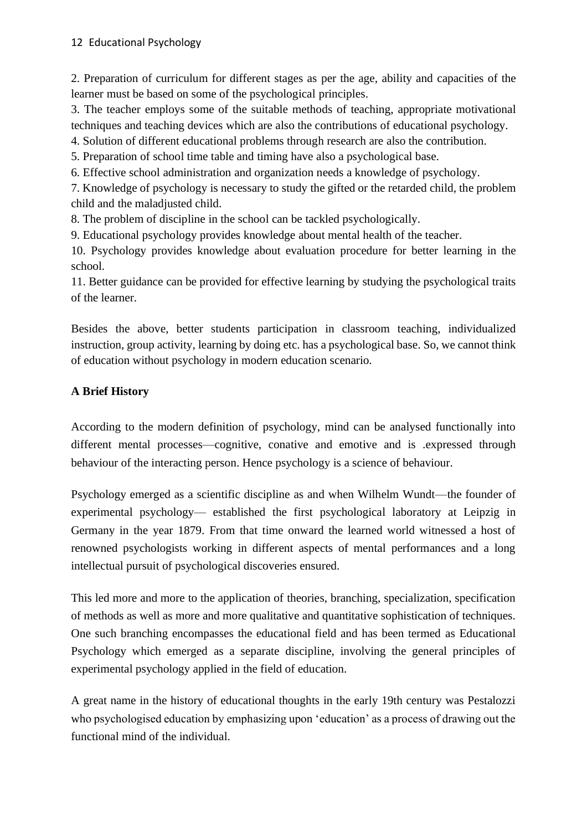#### 12 Educational Psychology

2. Preparation of curriculum for different stages as per the age, ability and capacities of the learner must be based on some of the psychological principles.

3. The teacher employs some of the suitable methods of teaching, appropriate motivational techniques and teaching devices which are also the contributions of educational psychology.

4. Solution of different educational problems through research are also the contribution.

5. Preparation of school time table and timing have also a psychological base.

6. Effective school administration and organization needs a knowledge of psychology.

7. Knowledge of psychology is necessary to study the gifted or the retarded child, the problem child and the maladjusted child.

8. The problem of discipline in the school can be tackled psychologically.

9. Educational psychology provides knowledge about mental health of the teacher.

10. Psychology provides knowledge about evaluation procedure for better learning in the school.

11. Better guidance can be provided for effective learning by studying the psychological traits of the learner.

Besides the above, better students participation in classroom teaching, individualized instruction, group activity, learning by doing etc. has a psychological base. So, we cannot think of education without psychology in modern education scenario.

# **A Brief History**

According to the modern definition of psychology, mind can be analysed functionally into different mental processes—cognitive, conative and emotive and is .expressed through behaviour of the interacting person. Hence psychology is a science of behaviour.

Psychology emerged as a scientific discipline as and when Wilhelm Wundt—the founder of experimental psychology— established the first psychological laboratory at Leipzig in Germany in the year 1879. From that time onward the learned world witnessed a host of renowned psychologists working in different aspects of mental performances and a long intellectual pursuit of psychological discoveries ensured.

This led more and more to the application of theories, branching, specialization, specification of methods as well as more and more qualitative and quantitative sophistication of techniques. One such branching encompasses the educational field and has been termed as Educational Psychology which emerged as a separate discipline, involving the general principles of experimental psychology applied in the field of education.

A great name in the history of educational thoughts in the early 19th century was Pestalozzi who psychologised education by emphasizing upon 'education' as a process of drawing out the functional mind of the individual.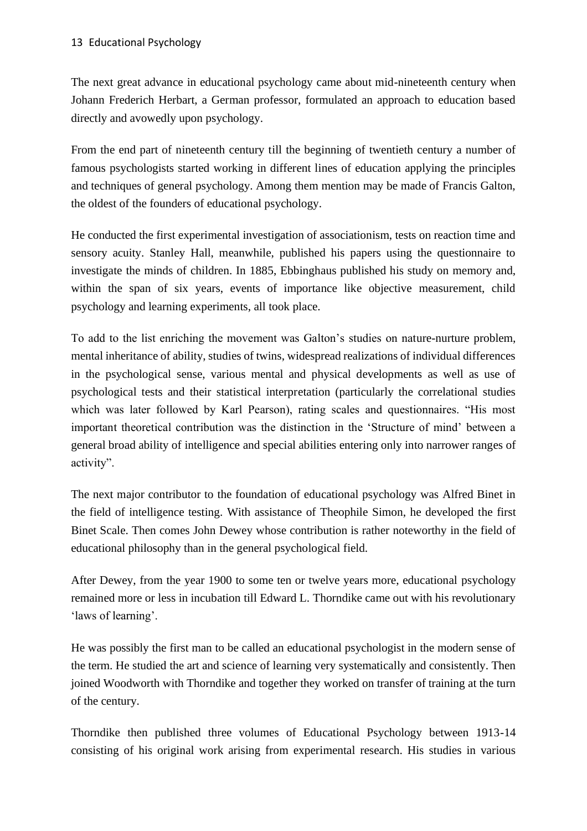The next great advance in educational psychology came about mid-nineteenth century when Johann Frederich Herbart, a German professor, formulated an approach to education based directly and avowedly upon psychology.

From the end part of nineteenth century till the beginning of twentieth century a number of famous psychologists started working in different lines of education applying the principles and techniques of general psychology. Among them mention may be made of Francis Galton, the oldest of the founders of educational psychology.

He conducted the first experimental investigation of associationism, tests on reaction time and sensory acuity. Stanley Hall, meanwhile, published his papers using the questionnaire to investigate the minds of children. In 1885, Ebbinghaus published his study on memory and, within the span of six years, events of importance like objective measurement, child psychology and learning experiments, all took place.

To add to the list enriching the movement was Galton's studies on nature-nurture problem, mental inheritance of ability, studies of twins, widespread realizations of individual differences in the psychological sense, various mental and physical developments as well as use of psychological tests and their statistical interpretation (particularly the correlational studies which was later followed by Karl Pearson), rating scales and questionnaires. "His most important theoretical contribution was the distinction in the 'Structure of mind' between a general broad ability of intelligence and special abilities entering only into narrower ranges of activity".

The next major contributor to the foundation of educational psychology was Alfred Binet in the field of intelligence testing. With assistance of Theophile Simon, he developed the first Binet Scale. Then comes John Dewey whose contribution is rather noteworthy in the field of educational philosophy than in the general psychological field.

After Dewey, from the year 1900 to some ten or twelve years more, educational psychology remained more or less in incubation till Edward L. Thorndike came out with his revolutionary 'laws of learning'.

He was possibly the first man to be called an educational psychologist in the modern sense of the term. He studied the art and science of learning very systematically and consistently. Then joined Woodworth with Thorndike and together they worked on transfer of training at the turn of the century.

Thorndike then published three volumes of Educational Psychology between 1913-14 consisting of his original work arising from experimental research. His studies in various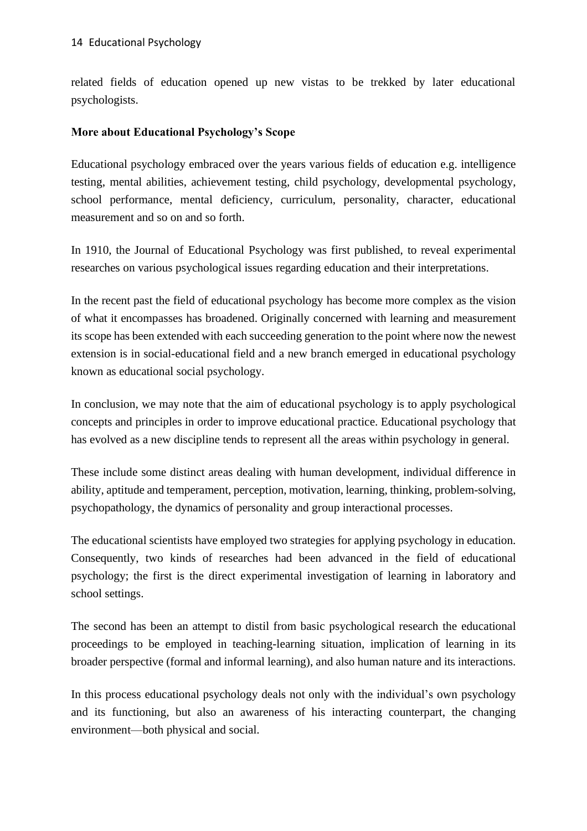related fields of education opened up new vistas to be trekked by later educational psychologists.

## **More about Educational Psychology's Scope**

Educational psychology embraced over the years various fields of education e.g. intelligence testing, mental abilities, achievement testing, child psychology, developmental psychology, school performance, mental deficiency, curriculum, personality, character, educational measurement and so on and so forth.

In 1910, the Journal of Educational Psychology was first published, to reveal experimental researches on various psychological issues regarding education and their interpretations.

In the recent past the field of educational psychology has become more complex as the vision of what it encompasses has broadened. Originally concerned with learning and measurement its scope has been extended with each succeeding generation to the point where now the newest extension is in social-educational field and a new branch emerged in educational psychology known as educational social psychology.

In conclusion, we may note that the aim of educational psychology is to apply psychological concepts and principles in order to improve educational practice. Educational psychology that has evolved as a new discipline tends to represent all the areas within psychology in general.

These include some distinct areas dealing with human development, individual difference in ability, aptitude and temperament, perception, motivation, learning, thinking, problem-solving, psychopathology, the dynamics of personality and group interactional processes.

The educational scientists have employed two strategies for applying psychology in education. Consequently, two kinds of researches had been advanced in the field of educational psychology; the first is the direct experimental investigation of learning in laboratory and school settings.

The second has been an attempt to distil from basic psychological research the educational proceedings to be employed in teaching-learning situation, implication of learning in its broader perspective (formal and informal learning), and also human nature and its interactions.

In this process educational psychology deals not only with the individual's own psychology and its functioning, but also an awareness of his interacting counterpart, the changing environment—both physical and social.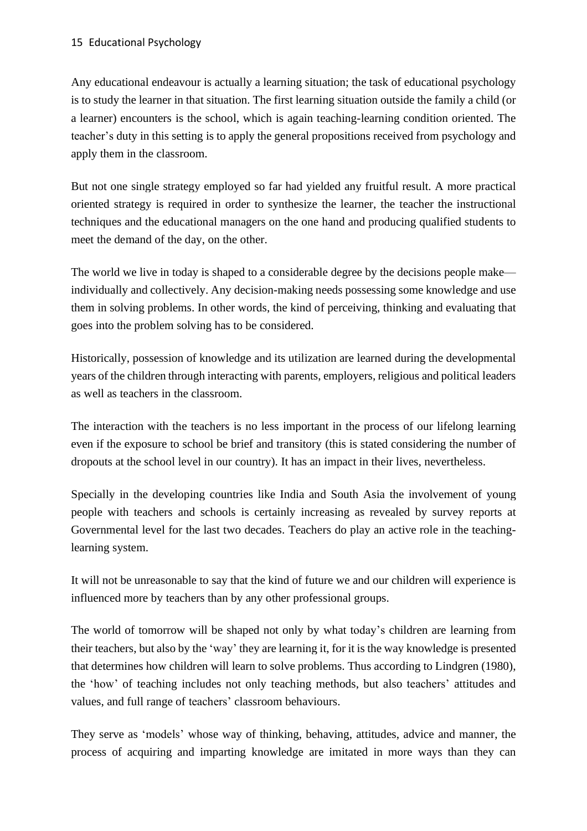Any educational endeavour is actually a learning situation; the task of educational psychology is to study the learner in that situation. The first learning situation outside the family a child (or a learner) encounters is the school, which is again teaching-learning condition oriented. The teacher's duty in this setting is to apply the general propositions received from psychology and apply them in the classroom.

But not one single strategy employed so far had yielded any fruitful result. A more practical oriented strategy is required in order to synthesize the learner, the teacher the instructional techniques and the educational managers on the one hand and producing qualified students to meet the demand of the day, on the other.

The world we live in today is shaped to a considerable degree by the decisions people make individually and collectively. Any decision-making needs possessing some knowledge and use them in solving problems. In other words, the kind of perceiving, thinking and evaluating that goes into the problem solving has to be considered.

Historically, possession of knowledge and its utilization are learned during the developmental years of the children through interacting with parents, employers, religious and political leaders as well as teachers in the classroom.

The interaction with the teachers is no less important in the process of our lifelong learning even if the exposure to school be brief and transitory (this is stated considering the number of dropouts at the school level in our country). It has an impact in their lives, nevertheless.

Specially in the developing countries like India and South Asia the involvement of young people with teachers and schools is certainly increasing as revealed by survey reports at Governmental level for the last two decades. Teachers do play an active role in the teachinglearning system.

It will not be unreasonable to say that the kind of future we and our children will experience is influenced more by teachers than by any other professional groups.

The world of tomorrow will be shaped not only by what today's children are learning from their teachers, but also by the 'way' they are learning it, for it is the way knowledge is presented that determines how children will learn to solve problems. Thus according to Lindgren (1980), the 'how' of teaching includes not only teaching methods, but also teachers' attitudes and values, and full range of teachers' classroom behaviours.

They serve as 'models' whose way of thinking, behaving, attitudes, advice and manner, the process of acquiring and imparting knowledge are imitated in more ways than they can